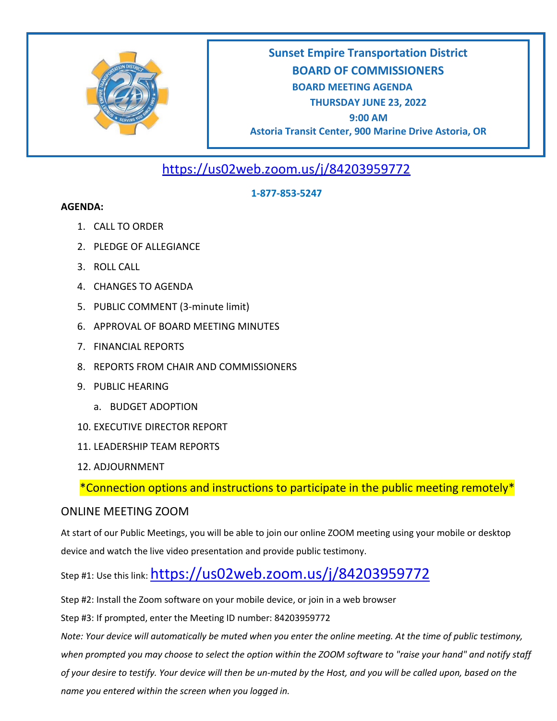

# **Sunset Empire Transportation District BOARD OF COMMISSIONERS BOARD MEETING AGENDA THURSDAY JUNE 23, 2022 9:00 AM Astoria Transit Center, 900 Marine Drive Astoria, OR**

<https://us02web.zoom.us/j/84203959772>

### **1-877-853-5247**

#### **AGENDA:**

- 1. CALL TO ORDER
- 2. PLEDGE OF ALLEGIANCE
- 3. ROLL CALL
- 4. CHANGES TO AGENDA
- 5. PUBLIC COMMENT (3-minute limit)
- 6. APPROVAL OF BOARD MEETING MINUTES
- 7. FINANCIAL REPORTS
- 8. REPORTS FROM CHAIR AND COMMISSIONERS
- 9. PUBLIC HEARING
	- a. BUDGET ADOPTION
- 10. EXECUTIVE DIRECTOR REPORT
- 11. LEADERSHIP TEAM REPORTS
- 12. ADJOURNMENT

\*Connection options and instructions to participate in the public meeting remotely\*

## ONLINE MEETING ZOOM

At start of our Public Meetings, you will be able to join our online ZOOM meeting using your mobile or desktop device and watch the live video presentation and provide public testimony.

Step #1: Use this link: <https://us02web.zoom.us/j/84203959772>

Step #2: Install the Zoom software on your mobile device, or join in a web browser

Step #3: If prompted, enter the Meeting ID number: 84203959772

*Note: Your device will automatically be muted when you enter the online meeting. At the time of public testimony, when prompted you may choose to select the option within the ZOOM software to "raise your hand" and notify staff of your desire to testify. Your device will then be un-muted by the Host, and you will be called upon, based on the name you entered within the screen when you logged in.*